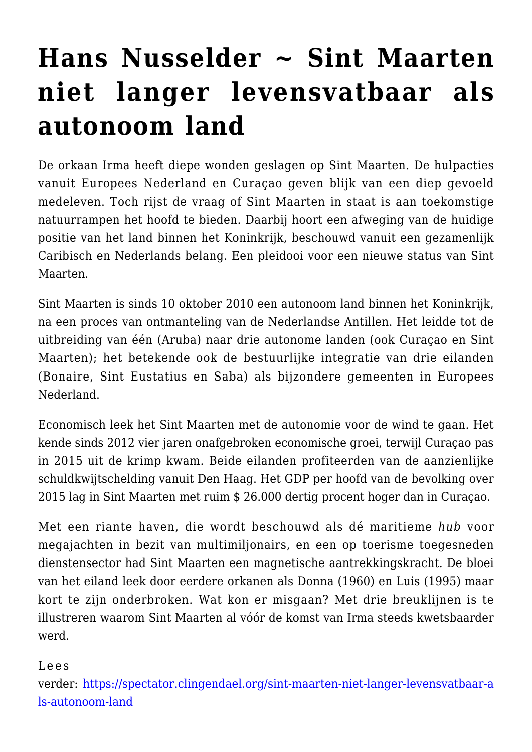# **[Hans Nusselder ~ Sint Maarten](https://rozenbergquarterly.com/hans-nusselder-sint-maarten-niet-langer-levensvatbaar-als-autonoom-land/) [niet langer levensvatbaar als](https://rozenbergquarterly.com/hans-nusselder-sint-maarten-niet-langer-levensvatbaar-als-autonoom-land/) [autonoom land](https://rozenbergquarterly.com/hans-nusselder-sint-maarten-niet-langer-levensvatbaar-als-autonoom-land/)**

De orkaan Irma heeft diepe wonden geslagen op Sint Maarten. De hulpacties vanuit Europees Nederland en Curaçao geven blijk van een diep gevoeld medeleven. Toch rijst de vraag of Sint Maarten in staat is aan toekomstige natuurrampen het hoofd te bieden. Daarbij hoort een afweging van de huidige positie van het land binnen het Koninkrijk, beschouwd vanuit een gezamenlijk Caribisch en Nederlands belang. Een pleidooi voor een nieuwe status van Sint Maarten.

Sint Maarten is sinds 10 oktober 2010 een autonoom land binnen het Koninkrijk, na een proces van ontmanteling van de Nederlandse Antillen. Het leidde tot de uitbreiding van één (Aruba) naar drie autonome landen (ook Curaçao en Sint Maarten); het betekende ook de bestuurlijke integratie van drie eilanden (Bonaire, Sint Eustatius en Saba) als bijzondere gemeenten in Europees Nederland.

Economisch leek het Sint Maarten met de autonomie voor de wind te gaan. Het kende sinds 2012 vier jaren onafgebroken economische groei, terwijl Curaçao pas in 2015 uit de krimp kwam. Beide eilanden profiteerden van de aanzienlijke schuldkwijtschelding vanuit Den Haag. Het GDP per hoofd van de bevolking over 2015 lag in Sint Maarten met ruim \$ 26.000 dertig procent hoger dan in Curaçao.

Met een riante haven, die wordt beschouwd als dé maritieme *hub* voor megajachten in bezit van multimiljonairs, en een op toerisme toegesneden dienstensector had Sint Maarten een magnetische aantrekkingskracht. De bloei van het eiland leek door eerdere orkanen als Donna (1960) en Luis (1995) maar kort te zijn onderbroken. Wat kon er misgaan? Met drie breuklijnen is te illustreren waarom Sint Maarten al vóór de komst van Irma steeds kwetsbaarder werd.

verder: [https://spectator.clingendael.org/sint-maarten-niet-langer-levensvatbaar-a](https://spectator.clingendael.org/nl/publicatie/sint-maarten-niet-langer-levensvatbaar-als-autonoom-land) [ls-autonoom-land](https://spectator.clingendael.org/nl/publicatie/sint-maarten-niet-langer-levensvatbaar-als-autonoom-land)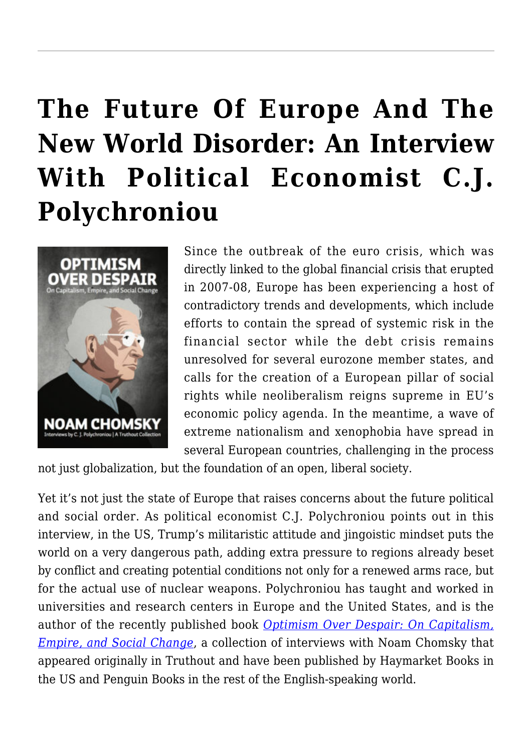# **[The Future Of Europe And The](https://rozenbergquarterly.com/the-future-of-europe-and-the-new-world-disorder-an-interview-with-political-economist-c-j-polychroniou/) [New World Disorder: An Interview](https://rozenbergquarterly.com/the-future-of-europe-and-the-new-world-disorder-an-interview-with-political-economist-c-j-polychroniou/) [With Political Economist C.J.](https://rozenbergquarterly.com/the-future-of-europe-and-the-new-world-disorder-an-interview-with-political-economist-c-j-polychroniou/) [Polychroniou](https://rozenbergquarterly.com/the-future-of-europe-and-the-new-world-disorder-an-interview-with-political-economist-c-j-polychroniou/)**



Since the outbreak of the euro crisis, which was directly linked to the global financial crisis that erupted in 2007-08, Europe has been experiencing a host of contradictory trends and developments, which include efforts to contain the spread of systemic risk in the financial sector while the debt crisis remains unresolved for several eurozone member states, and calls for the creation of a European pillar of social rights while neoliberalism reigns supreme in EU's economic policy agenda. In the meantime, a wave of extreme nationalism and xenophobia have spread in several European countries, challenging in the process

not just globalization, but the foundation of an open, liberal society.

Yet it's not just the state of Europe that raises concerns about the future political and social order. As political economist C.J. Polychroniou points out in this interview, in the US, Trump's militaristic attitude and jingoistic mindset puts the world on a very dangerous path, adding extra pressure to regions already beset by conflict and creating potential conditions not only for a renewed arms race, but for the actual use of nuclear weapons. Polychroniou has taught and worked in universities and research centers in Europe and the United States, and is the author of the recently published book *[Optimism Over Despair: On Capitalism,](https://org2.salsalabs.com/o/6694/t/17304/shop/item.jsp?storefront_KEY=661&t=&store_item_KEY=3567) [Empire, and Social Change](https://org2.salsalabs.com/o/6694/t/17304/shop/item.jsp?storefront_KEY=661&t=&store_item_KEY=3567)*, a collection of interviews with Noam Chomsky that appeared originally in Truthout and have been published by Haymarket Books in the US and Penguin Books in the rest of the English-speaking world.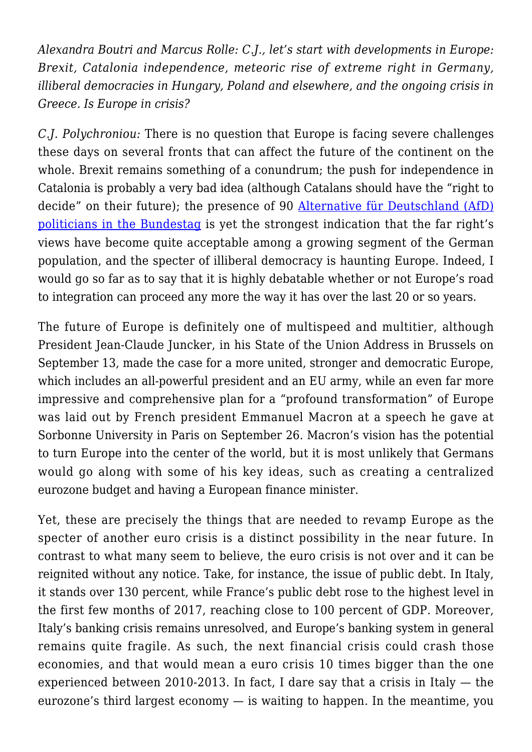*Alexandra Boutri and Marcus Rolle: C.J., let's start with developments in Europe: Brexit, Catalonia independence, meteoric rise of extreme right in Germany, illiberal democracies in Hungary, Poland and elsewhere, and the ongoing crisis in Greece. Is Europe in crisis?*

*C.J. Polychroniou:* There is no question that Europe is facing severe challenges these days on several fronts that can affect the future of the continent on the whole. Brexit remains something of a conundrum; the push for independence in Catalonia is probably a very bad idea (although Catalans should have the "right to decide" on their future); the presence of 90 [Alternative für Deutschland \(AfD\)](http://www.truth-out.org/news/item/42011-seeking-to-ban-mosques-and-deport-all-migrants-right-wing-party-is-set-to-enter-german-parliament) [politicians in the Bundestag](http://www.truth-out.org/news/item/42011-seeking-to-ban-mosques-and-deport-all-migrants-right-wing-party-is-set-to-enter-german-parliament) is yet the strongest indication that the far right's views have become quite acceptable among a growing segment of the German population, and the specter of illiberal democracy is haunting Europe. Indeed, I would go so far as to say that it is highly debatable whether or not Europe's road to integration can proceed any more the way it has over the last 20 or so years.

The future of Europe is definitely one of multispeed and multitier, although President Jean-Claude Juncker, in his State of the Union Address in Brussels on September 13, made the case for a more united, stronger and democratic Europe, which includes an all-powerful president and an EU army, while an even far more impressive and comprehensive plan for a "profound transformation" of Europe was laid out by French president Emmanuel Macron at a speech he gave at Sorbonne University in Paris on September 26. Macron's vision has the potential to turn Europe into the center of the world, but it is most unlikely that Germans would go along with some of his key ideas, such as creating a centralized eurozone budget and having a European finance minister.

Yet, these are precisely the things that are needed to revamp Europe as the specter of another euro crisis is a distinct possibility in the near future. In contrast to what many seem to believe, the euro crisis is not over and it can be reignited without any notice. Take, for instance, the issue of public debt. In Italy, it stands over 130 percent, while France's public debt rose to the highest level in the first few months of 2017, reaching close to 100 percent of GDP. Moreover, Italy's banking crisis remains unresolved, and Europe's banking system in general remains quite fragile. As such, the next financial crisis could crash those economies, and that would mean a euro crisis 10 times bigger than the one experienced between 2010-2013. In fact, I dare say that a crisis in Italy — the eurozone's third largest economy — is waiting to happen. In the meantime, you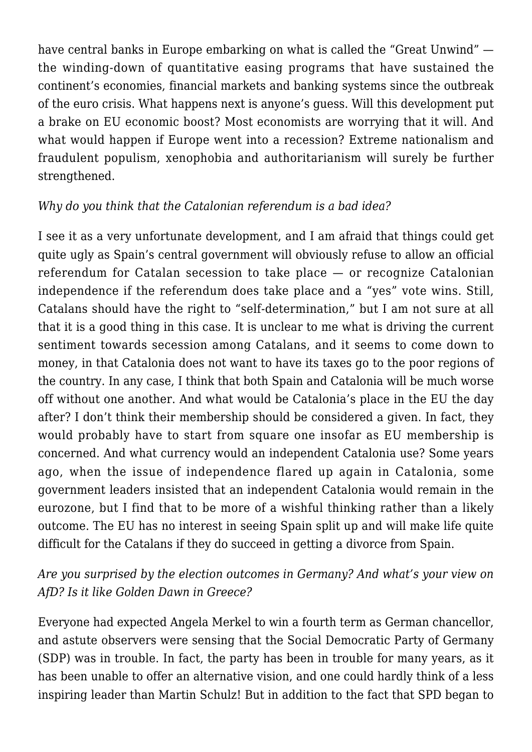have central banks in Europe embarking on what is called the "Great Unwind" the winding-down of quantitative easing programs that have sustained the continent's economies, financial markets and banking systems since the outbreak of the euro crisis. What happens next is anyone's guess. Will this development put a brake on EU economic boost? Most economists are worrying that it will. And what would happen if Europe went into a recession? Extreme nationalism and fraudulent populism, xenophobia and authoritarianism will surely be further strengthened.

### *Why do you think that the Catalonian referendum is a bad idea?*

I see it as a very unfortunate development, and I am afraid that things could get quite ugly as Spain's central government will obviously refuse to allow an official referendum for Catalan secession to take place — or recognize Catalonian independence if the referendum does take place and a "yes" vote wins. Still, Catalans should have the right to "self-determination," but I am not sure at all that it is a good thing in this case. It is unclear to me what is driving the current sentiment towards secession among Catalans, and it seems to come down to money, in that Catalonia does not want to have its taxes go to the poor regions of the country. In any case, I think that both Spain and Catalonia will be much worse off without one another. And what would be Catalonia's place in the EU the day after? I don't think their membership should be considered a given. In fact, they would probably have to start from square one insofar as EU membership is concerned. And what currency would an independent Catalonia use? Some years ago, when the issue of independence flared up again in Catalonia, some government leaders insisted that an independent Catalonia would remain in the eurozone, but I find that to be more of a wishful thinking rather than a likely outcome. The EU has no interest in seeing Spain split up and will make life quite difficult for the Catalans if they do succeed in getting a divorce from Spain.

### *Are you surprised by the election outcomes in Germany? And what's your view on AfD? Is it like Golden Dawn in Greece?*

Everyone had expected Angela Merkel to win a fourth term as German chancellor, and astute observers were sensing that the Social Democratic Party of Germany (SDP) was in trouble. In fact, the party has been in trouble for many years, as it has been unable to offer an alternative vision, and one could hardly think of a less inspiring leader than Martin Schulz! But in addition to the fact that SPD began to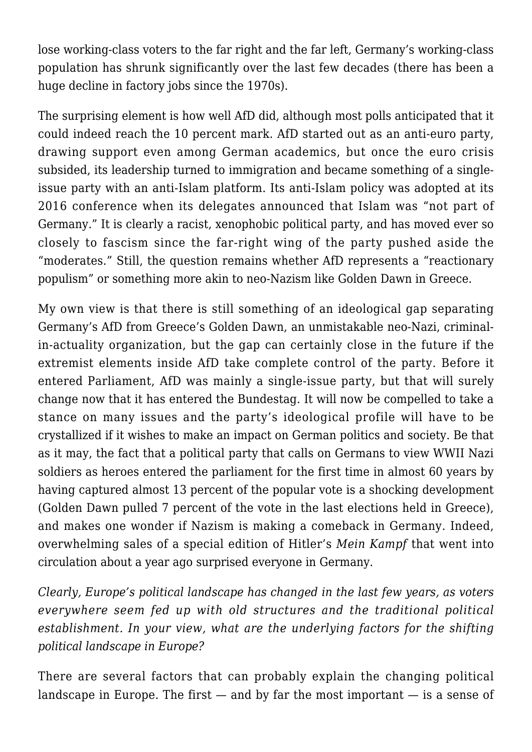lose working-class voters to the far right and the far left, Germany's working-class population has shrunk significantly over the last few decades (there has been a huge decline in factory jobs since the 1970s).

The surprising element is how well AfD did, although most polls anticipated that it could indeed reach the 10 percent mark. AfD started out as an anti-euro party, drawing support even among German academics, but once the euro crisis subsided, its leadership turned to immigration and became something of a singleissue party with an anti-Islam platform. Its anti-Islam policy was adopted at its 2016 conference when its delegates announced that Islam was "not part of Germany." It is clearly a racist, xenophobic political party, and has moved ever so closely to fascism since the far-right wing of the party pushed aside the "moderates." Still, the question remains whether AfD represents a "reactionary populism" or something more akin to neo-Nazism like Golden Dawn in Greece.

My own view is that there is still something of an ideological gap separating Germany's AfD from Greece's Golden Dawn, an unmistakable neo-Nazi, criminalin-actuality organization, but the gap can certainly close in the future if the extremist elements inside AfD take complete control of the party. Before it entered Parliament, AfD was mainly a single-issue party, but that will surely change now that it has entered the Bundestag. It will now be compelled to take a stance on many issues and the party's ideological profile will have to be crystallized if it wishes to make an impact on German politics and society. Be that as it may, the fact that a political party that calls on Germans to view WWII Nazi soldiers as heroes entered the parliament for the first time in almost 60 years by having captured almost 13 percent of the popular vote is a shocking development (Golden Dawn pulled 7 percent of the vote in the last elections held in Greece), and makes one wonder if Nazism is making a comeback in Germany. Indeed, overwhelming sales of a special edition of Hitler's *Mein Kampf* that went into circulation about a year ago surprised everyone in Germany.

*Clearly, Europe's political landscape has changed in the last few years, as voters everywhere seem fed up with old structures and the traditional political establishment. In your view, what are the underlying factors for the shifting political landscape in Europe?*

There are several factors that can probably explain the changing political landscape in Europe. The first  $-$  and by far the most important  $-$  is a sense of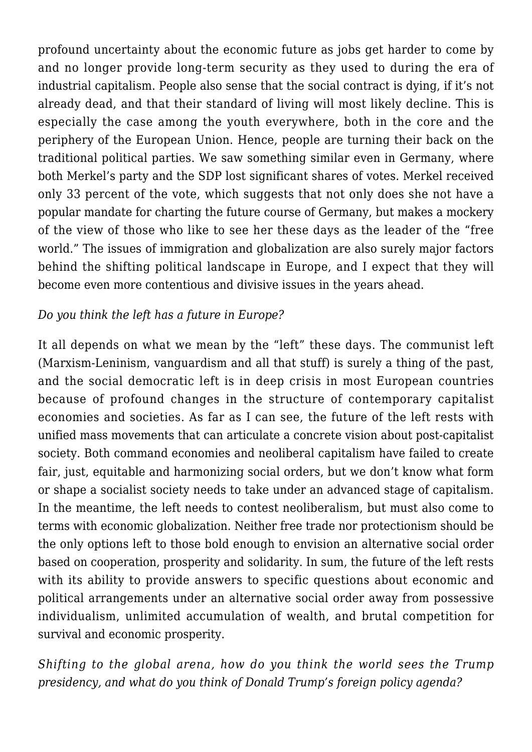profound uncertainty about the economic future as jobs get harder to come by and no longer provide long-term security as they used to during the era of industrial capitalism. People also sense that the social contract is dying, if it's not already dead, and that their standard of living will most likely decline. This is especially the case among the youth everywhere, both in the core and the periphery of the European Union. Hence, people are turning their back on the traditional political parties. We saw something similar even in Germany, where both Merkel's party and the SDP lost significant shares of votes. Merkel received only 33 percent of the vote, which suggests that not only does she not have a popular mandate for charting the future course of Germany, but makes a mockery of the view of those who like to see her these days as the leader of the "free world." The issues of immigration and globalization are also surely major factors behind the shifting political landscape in Europe, and I expect that they will become even more contentious and divisive issues in the years ahead.

#### *Do you think the left has a future in Europe?*

It all depends on what we mean by the "left" these days. The communist left (Marxism-Leninism, vanguardism and all that stuff) is surely a thing of the past, and the social democratic left is in deep crisis in most European countries because of profound changes in the structure of contemporary capitalist economies and societies. As far as I can see, the future of the left rests with unified mass movements that can articulate a concrete vision about post-capitalist society. Both command economies and neoliberal capitalism have failed to create fair, just, equitable and harmonizing social orders, but we don't know what form or shape a socialist society needs to take under an advanced stage of capitalism. In the meantime, the left needs to contest neoliberalism, but must also come to terms with economic globalization. Neither free trade nor protectionism should be the only options left to those bold enough to envision an alternative social order based on cooperation, prosperity and solidarity. In sum, the future of the left rests with its ability to provide answers to specific questions about economic and political arrangements under an alternative social order away from possessive individualism, unlimited accumulation of wealth, and brutal competition for survival and economic prosperity.

*Shifting to the global arena, how do you think the world sees the Trump presidency, and what do you think of Donald Trump's foreign policy agenda?*